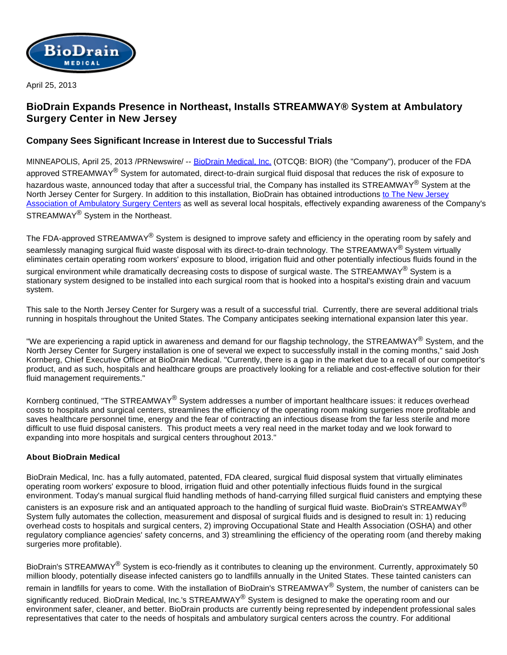

April 25, 2013

# **BioDrain Expands Presence in Northeast, Installs STREAMWAY® System at Ambulatory Surgery Center in New Jersey**

## **Company Sees Significant Increase in Interest due to Successful Trials**

MINNEAPOLIS, April 25, 2013 /PRNewswire/ -- [BioDrain Medical, Inc.](http://www.biodrainmedical.com/) (OTCQB: BIOR) (the "Company"), producer of the FDA approved STREAMWAY<sup>®</sup> System for automated, direct-to-drain surgical fluid disposal that reduces the risk of exposure to hazardous waste, announced today that after a successful trial, the Company has installed its STREAMWAY<sup>®</sup> System at the North Jersey Center for Surgery. In addition to this installation, BioDrain has obtained introductions [to The New Jersey](http://www.njaasc.org/aws/NJAASC/pt/sp/home_page)  [Association of Ambulatory Surgery Centers](http://www.njaasc.org/aws/NJAASC/pt/sp/home_page) as well as several local hospitals, effectively expanding awareness of the Company's STREAMWAY<sup>®</sup> System in the Northeast.

The FDA-approved STREAMWAY<sup>®</sup> System is designed to improve safety and efficiency in the operating room by safely and seamlessly managing surgical fluid waste disposal with its direct-to-drain technology. The STREAMWAY® System virtually eliminates certain operating room workers' exposure to blood, irrigation fluid and other potentially infectious fluids found in the surgical environment while dramatically decreasing costs to dispose of surgical waste. The STREAMWAY<sup>®</sup> System is a stationary system designed to be installed into each surgical room that is hooked into a hospital's existing drain and vacuum system.

This sale to the North Jersey Center for Surgery was a result of a successful trial. Currently, there are several additional trials running in hospitals throughout the United States. The Company anticipates seeking international expansion later this year.

"We are experiencing a rapid uptick in awareness and demand for our flagship technology, the STREAMWAY<sup>®</sup> System, and the North Jersey Center for Surgery installation is one of several we expect to successfully install in the coming months," said Josh Kornberg, Chief Executive Officer at BioDrain Medical. "Currently, there is a gap in the market due to a recall of our competitor's product, and as such, hospitals and healthcare groups are proactively looking for a reliable and cost-effective solution for their fluid management requirements."

Kornberg continued, "The STREAMWAY® System addresses a number of important healthcare issues: it reduces overhead costs to hospitals and surgical centers, streamlines the efficiency of the operating room making surgeries more profitable and saves healthcare personnel time, energy and the fear of contracting an infectious disease from the far less sterile and more difficult to use fluid disposal canisters. This product meets a very real need in the market today and we look forward to expanding into more hospitals and surgical centers throughout 2013."

### **About BioDrain Medical**

BioDrain Medical, Inc. has a fully automated, patented, FDA cleared, surgical fluid disposal system that virtually eliminates operating room workers' exposure to blood, irrigation fluid and other potentially infectious fluids found in the surgical environment. Today's manual surgical fluid handling methods of hand-carrying filled surgical fluid canisters and emptying these

canisters is an exposure risk and an antiquated approach to the handling of surgical fluid waste. BioDrain's STREAMWAY<sup>®</sup> System fully automates the collection, measurement and disposal of surgical fluids and is designed to result in: 1) reducing overhead costs to hospitals and surgical centers, 2) improving Occupational State and Health Association (OSHA) and other regulatory compliance agencies' safety concerns, and 3) streamlining the efficiency of the operating room (and thereby making surgeries more profitable).

BioDrain's STREAMWAY<sup>®</sup> System is eco-friendly as it contributes to cleaning up the environment. Currently, approximately 50 million bloody, potentially disease infected canisters go to landfills annually in the United States. These tainted canisters can remain in landfills for years to come. With the installation of BioDrain's STREAMWAY<sup>®</sup> System, the number of canisters can be significantly reduced. BioDrain Medical, Inc.'s STREAMWAY<sup>®</sup> System is designed to make the operating room and our environment safer, cleaner, and better. BioDrain products are currently being represented by independent professional sales representatives that cater to the needs of hospitals and ambulatory surgical centers across the country. For additional